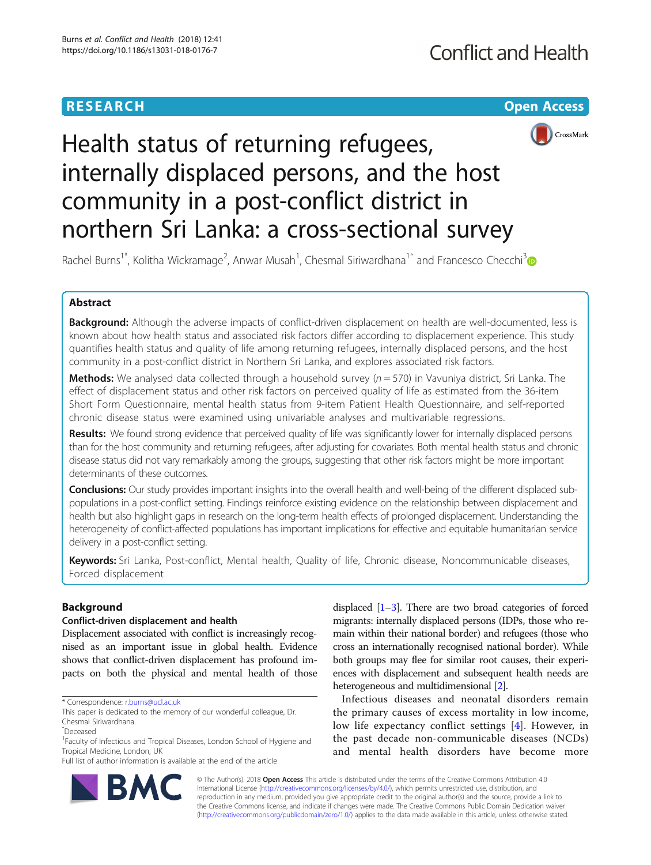## **RESEARCH CHE Open Access**



# Health status of returning refugees, internally displaced persons, and the host community in a post-conflict district in northern Sri Lanka: a cross-sectional survey

Rachel Burns<sup>1\*</sup>, Kolitha Wickramage<sup>2</sup>, Anwar Musah<sup>1</sup>, Chesmal Siriwardhana<sup>1^</sup> and Francesco Checchi<sup>[3](http://orcid.org/0000-0001-9030-5382)</sup>

### Abstract

Background: Although the adverse impacts of conflict-driven displacement on health are well-documented, less is known about how health status and associated risk factors differ according to displacement experience. This study quantifies health status and quality of life among returning refugees, internally displaced persons, and the host community in a post-conflict district in Northern Sri Lanka, and explores associated risk factors.

**Methods:** We analysed data collected through a household survey ( $n = 570$ ) in Vavuniya district, Sri Lanka. The effect of displacement status and other risk factors on perceived quality of life as estimated from the 36-item Short Form Questionnaire, mental health status from 9-item Patient Health Questionnaire, and self-reported chronic disease status were examined using univariable analyses and multivariable regressions.

Results: We found strong evidence that perceived quality of life was significantly lower for internally displaced persons than for the host community and returning refugees, after adjusting for covariates. Both mental health status and chronic disease status did not vary remarkably among the groups, suggesting that other risk factors might be more important determinants of these outcomes.

**Conclusions:** Our study provides important insights into the overall health and well-being of the different displaced subpopulations in a post-conflict setting. Findings reinforce existing evidence on the relationship between displacement and health but also highlight gaps in research on the long-term health effects of prolonged displacement. Understanding the heterogeneity of conflict-affected populations has important implications for effective and equitable humanitarian service delivery in a post-conflict setting.

Keywords: Sri Lanka, Post-conflict, Mental health, Quality of life, Chronic disease, Noncommunicable diseases, Forced displacement

#### Background

#### Conflict-driven displacement and health

Displacement associated with conflict is increasingly recognised as an important issue in global health. Evidence shows that conflict-driven displacement has profound impacts on both the physical and mental health of those

Full list of author information is available at the end of the article

displaced [[1](#page-10-0)–[3\]](#page-10-0). There are two broad categories of forced migrants: internally displaced persons (IDPs, those who remain within their national border) and refugees (those who cross an internationally recognised national border). While both groups may flee for similar root causes, their experiences with displacement and subsequent health needs are heterogeneous and multidimensional [\[2\]](#page-10-0).

Infectious diseases and neonatal disorders remain the primary causes of excess mortality in low income, low life expectancy conflict settings [[4\]](#page-10-0). However, in the past decade non-communicable diseases (NCDs) and mental health disorders have become more



© The Author(s). 2018 Open Access This article is distributed under the terms of the Creative Commons Attribution 4.0 International License [\(http://creativecommons.org/licenses/by/4.0/](http://creativecommons.org/licenses/by/4.0/)), which permits unrestricted use, distribution, and reproduction in any medium, provided you give appropriate credit to the original author(s) and the source, provide a link to the Creative Commons license, and indicate if changes were made. The Creative Commons Public Domain Dedication waiver [\(http://creativecommons.org/publicdomain/zero/1.0/](http://creativecommons.org/publicdomain/zero/1.0/)) applies to the data made available in this article, unless otherwise stated.

<sup>\*</sup> Correspondence: [r.burns@ucl.ac.uk](mailto:r.burns@ucl.ac.uk)

This paper is dedicated to the memory of our wonderful colleague, Dr.

Chesmal Siriwardhana.

ˆDeceased

<sup>&</sup>lt;sup>1</sup> Faculty of Infectious and Tropical Diseases, London School of Hygiene and Tropical Medicine, London, UK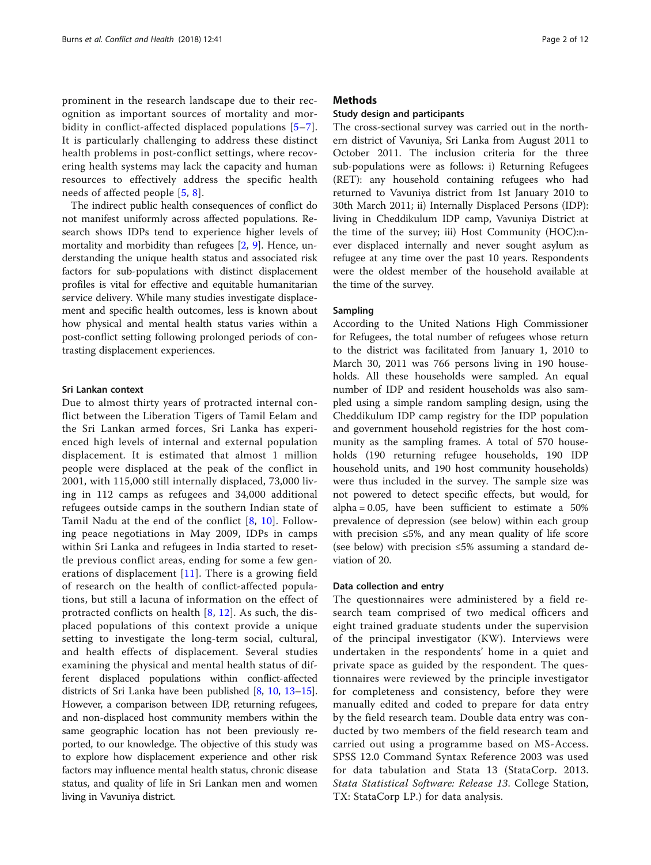prominent in the research landscape due to their recognition as important sources of mortality and morbidity in conflict-affected displaced populations [[5](#page-10-0)–[7](#page-10-0)]. It is particularly challenging to address these distinct health problems in post-conflict settings, where recovering health systems may lack the capacity and human resources to effectively address the specific health needs of affected people [[5,](#page-10-0) [8](#page-10-0)].

The indirect public health consequences of conflict do not manifest uniformly across affected populations. Research shows IDPs tend to experience higher levels of mortality and morbidity than refugees [[2,](#page-10-0) [9\]](#page-10-0). Hence, understanding the unique health status and associated risk factors for sub-populations with distinct displacement profiles is vital for effective and equitable humanitarian service delivery. While many studies investigate displacement and specific health outcomes, less is known about how physical and mental health status varies within a post-conflict setting following prolonged periods of contrasting displacement experiences.

#### Sri Lankan context

Due to almost thirty years of protracted internal conflict between the Liberation Tigers of Tamil Eelam and the Sri Lankan armed forces, Sri Lanka has experienced high levels of internal and external population displacement. It is estimated that almost 1 million people were displaced at the peak of the conflict in 2001, with 115,000 still internally displaced, 73,000 living in 112 camps as refugees and 34,000 additional refugees outside camps in the southern Indian state of Tamil Nadu at the end of the conflict [[8,](#page-10-0) [10](#page-10-0)]. Following peace negotiations in May 2009, IDPs in camps within Sri Lanka and refugees in India started to resettle previous conflict areas, ending for some a few generations of displacement  $[11]$ . There is a growing field of research on the health of conflict-affected populations, but still a lacuna of information on the effect of protracted conflicts on health [[8,](#page-10-0) [12](#page-10-0)]. As such, the displaced populations of this context provide a unique setting to investigate the long-term social, cultural, and health effects of displacement. Several studies examining the physical and mental health status of different displaced populations within conflict-affected districts of Sri Lanka have been published [[8](#page-10-0), [10,](#page-10-0) [13](#page-10-0)–[15](#page-10-0)]. However, a comparison between IDP, returning refugees, and non-displaced host community members within the same geographic location has not been previously reported, to our knowledge. The objective of this study was to explore how displacement experience and other risk factors may influence mental health status, chronic disease status, and quality of life in Sri Lankan men and women living in Vavuniya district.

#### **Methods**

#### Study design and participants

The cross-sectional survey was carried out in the northern district of Vavuniya, Sri Lanka from August 2011 to October 2011. The inclusion criteria for the three sub-populations were as follows: i) Returning Refugees (RET): any household containing refugees who had returned to Vavuniya district from 1st January 2010 to 30th March 2011; ii) Internally Displaced Persons (IDP): living in Cheddikulum IDP camp, Vavuniya District at the time of the survey; iii) Host Community (HOC):never displaced internally and never sought asylum as refugee at any time over the past 10 years. Respondents were the oldest member of the household available at the time of the survey.

#### Sampling

According to the United Nations High Commissioner for Refugees, the total number of refugees whose return to the district was facilitated from January 1, 2010 to March 30, 2011 was 766 persons living in 190 households. All these households were sampled. An equal number of IDP and resident households was also sampled using a simple random sampling design, using the Cheddikulum IDP camp registry for the IDP population and government household registries for the host community as the sampling frames. A total of 570 households (190 returning refugee households, 190 IDP household units, and 190 host community households) were thus included in the survey. The sample size was not powered to detect specific effects, but would, for alpha = 0.05, have been sufficient to estimate a 50% prevalence of depression (see below) within each group with precision  $\leq 5\%$ , and any mean quality of life score (see below) with precision ≤5% assuming a standard deviation of 20.

#### Data collection and entry

The questionnaires were administered by a field research team comprised of two medical officers and eight trained graduate students under the supervision of the principal investigator (KW). Interviews were undertaken in the respondents' home in a quiet and private space as guided by the respondent. The questionnaires were reviewed by the principle investigator for completeness and consistency, before they were manually edited and coded to prepare for data entry by the field research team. Double data entry was conducted by two members of the field research team and carried out using a programme based on MS-Access. SPSS 12.0 Command Syntax Reference 2003 was used for data tabulation and Stata 13 (StataCorp. 2013. Stata Statistical Software: Release 13. College Station, TX: StataCorp LP.) for data analysis.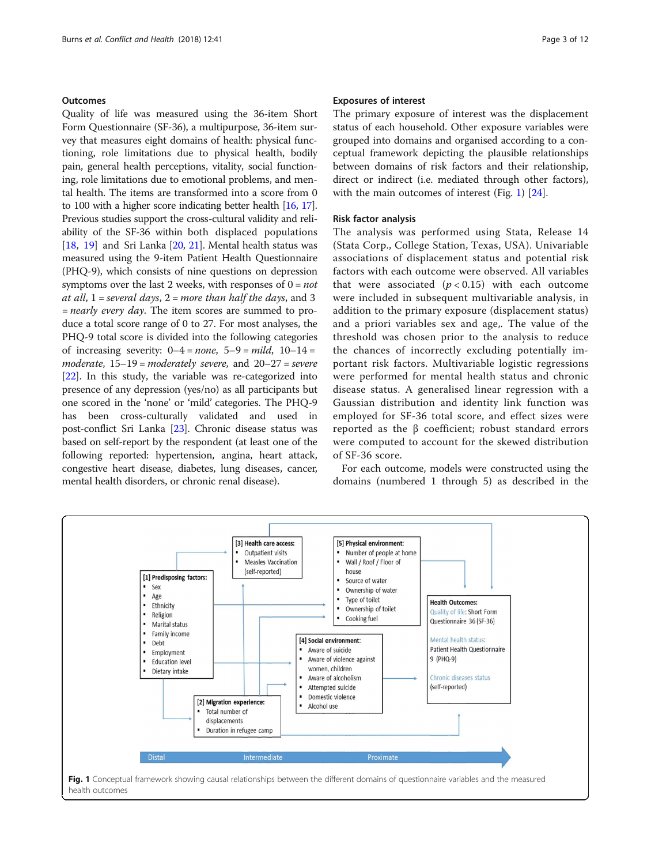#### <span id="page-2-0"></span>**Outcomes**

Quality of life was measured using the 36-item Short Form Questionnaire (SF-36), a multipurpose, 36-item survey that measures eight domains of health: physical functioning, role limitations due to physical health, bodily pain, general health perceptions, vitality, social functioning, role limitations due to emotional problems, and mental health. The items are transformed into a score from 0 to 100 with a higher score indicating better health [\[16,](#page-10-0) [17](#page-10-0)]. Previous studies support the cross-cultural validity and reliability of the SF-36 within both displaced populations [[18,](#page-10-0) [19](#page-11-0)] and Sri Lanka [\[20,](#page-11-0) [21](#page-11-0)]. Mental health status was measured using the 9-item Patient Health Questionnaire (PHQ-9), which consists of nine questions on depression symptoms over the last 2 weeks, with responses of  $0 = not$ at all,  $1$  = several days,  $2$  = more than half the days, and 3  $=$  *nearly every day*. The item scores are summed to produce a total score range of 0 to 27. For most analyses, the PHQ-9 total score is divided into the following categories of increasing severity:  $0-4 = none$ ,  $5-9 = mild$ ,  $10-14 =$ moderate,  $15-19$  = moderately severe, and  $20-27$  = severe [[22](#page-11-0)]. In this study, the variable was re-categorized into presence of any depression (yes/no) as all participants but one scored in the 'none' or 'mild' categories. The PHQ-9 has been cross-culturally validated and used in post-conflict Sri Lanka [[23](#page-11-0)]. Chronic disease status was based on self-report by the respondent (at least one of the following reported: hypertension, angina, heart attack, congestive heart disease, diabetes, lung diseases, cancer, mental health disorders, or chronic renal disease).

#### Exposures of interest

The primary exposure of interest was the displacement status of each household. Other exposure variables were grouped into domains and organised according to a conceptual framework depicting the plausible relationships between domains of risk factors and their relationship, direct or indirect (i.e. mediated through other factors), with the main outcomes of interest (Fig. 1) [[24](#page-11-0)].

#### Risk factor analysis

The analysis was performed using Stata, Release 14 (Stata Corp., College Station, Texas, USA). Univariable associations of displacement status and potential risk factors with each outcome were observed. All variables that were associated  $(p < 0.15)$  with each outcome were included in subsequent multivariable analysis, in addition to the primary exposure (displacement status) and a priori variables sex and age,. The value of the threshold was chosen prior to the analysis to reduce the chances of incorrectly excluding potentially important risk factors. Multivariable logistic regressions were performed for mental health status and chronic disease status. A generalised linear regression with a Gaussian distribution and identity link function was employed for SF-36 total score, and effect sizes were reported as the β coefficient; robust standard errors were computed to account for the skewed distribution of SF-36 score.

For each outcome, models were constructed using the domains (numbered 1 through 5) as described in the

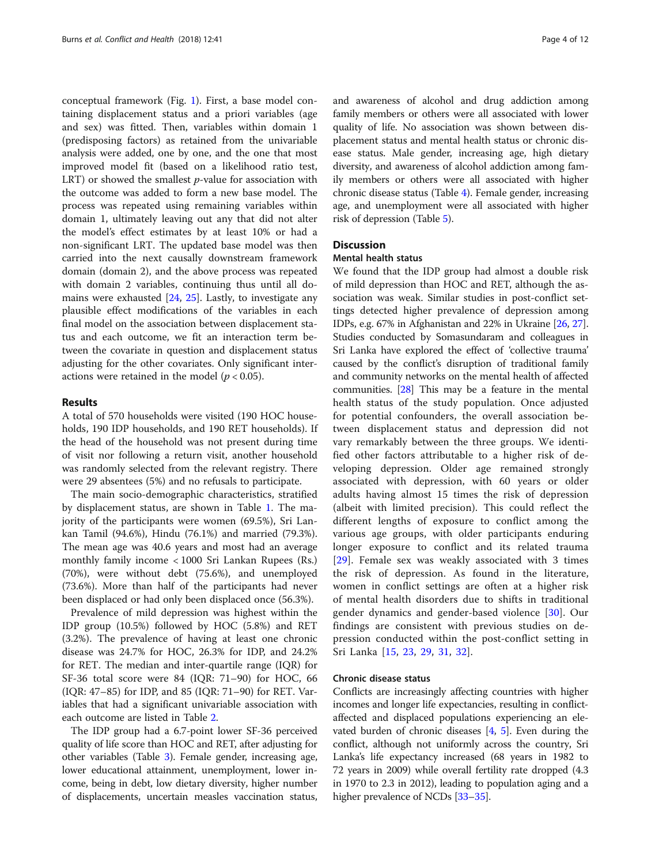conceptual framework (Fig. [1](#page-2-0)). First, a base model containing displacement status and a priori variables (age and sex) was fitted. Then, variables within domain 1 (predisposing factors) as retained from the univariable analysis were added, one by one, and the one that most improved model fit (based on a likelihood ratio test, LRT) or showed the smallest  $p$ -value for association with the outcome was added to form a new base model. The process was repeated using remaining variables within domain 1, ultimately leaving out any that did not alter the model's effect estimates by at least 10% or had a non-significant LRT. The updated base model was then carried into the next causally downstream framework domain (domain 2), and the above process was repeated with domain 2 variables, continuing thus until all domains were exhausted [[24](#page-11-0), [25\]](#page-11-0). Lastly, to investigate any plausible effect modifications of the variables in each final model on the association between displacement status and each outcome, we fit an interaction term between the covariate in question and displacement status adjusting for the other covariates. Only significant interactions were retained in the model ( $p < 0.05$ ).

#### Results

A total of 570 households were visited (190 HOC households, 190 IDP households, and 190 RET households). If the head of the household was not present during time of visit nor following a return visit, another household was randomly selected from the relevant registry. There were 29 absentees (5%) and no refusals to participate.

The main socio-demographic characteristics, stratified by displacement status, are shown in Table [1](#page-4-0). The majority of the participants were women (69.5%), Sri Lankan Tamil (94.6%), Hindu (76.1%) and married (79.3%). The mean age was 40.6 years and most had an average monthly family income < 1000 Sri Lankan Rupees (Rs.) (70%), were without debt (75.6%), and unemployed (73.6%). More than half of the participants had never been displaced or had only been displaced once (56.3%).

Prevalence of mild depression was highest within the IDP group (10.5%) followed by HOC (5.8%) and RET (3.2%). The prevalence of having at least one chronic disease was 24.7% for HOC, 26.3% for IDP, and 24.2% for RET. The median and inter-quartile range (IQR) for SF-36 total score were 84 (IQR: 71–90) for HOC, 66 (IQR: 47–85) for IDP, and 85 (IQR: 71–90) for RET. Variables that had a significant univariable association with each outcome are listed in Table [2.](#page-7-0)

The IDP group had a 6.7-point lower SF-36 perceived quality of life score than HOC and RET, after adjusting for other variables (Table [3](#page-8-0)). Female gender, increasing age, lower educational attainment, unemployment, lower income, being in debt, low dietary diversity, higher number of displacements, uncertain measles vaccination status, and awareness of alcohol and drug addiction among family members or others were all associated with lower quality of life. No association was shown between displacement status and mental health status or chronic disease status. Male gender, increasing age, high dietary diversity, and awareness of alcohol addiction among family members or others were all associated with higher chronic disease status (Table [4](#page-9-0)). Female gender, increasing age, and unemployment were all associated with higher risk of depression (Table [5\)](#page-9-0).

#### **Discussion**

#### Mental health status

We found that the IDP group had almost a double risk of mild depression than HOC and RET, although the association was weak. Similar studies in post-conflict settings detected higher prevalence of depression among IDPs, e.g. 67% in Afghanistan and 22% in Ukraine [\[26](#page-11-0), [27](#page-11-0)]. Studies conducted by Somasundaram and colleagues in Sri Lanka have explored the effect of 'collective trauma' caused by the conflict's disruption of traditional family and community networks on the mental health of affected communities. [\[28](#page-11-0)] This may be a feature in the mental health status of the study population. Once adjusted for potential confounders, the overall association between displacement status and depression did not vary remarkably between the three groups. We identified other factors attributable to a higher risk of developing depression. Older age remained strongly associated with depression, with 60 years or older adults having almost 15 times the risk of depression (albeit with limited precision). This could reflect the different lengths of exposure to conflict among the various age groups, with older participants enduring longer exposure to conflict and its related trauma [[29\]](#page-11-0). Female sex was weakly associated with 3 times the risk of depression. As found in the literature, women in conflict settings are often at a higher risk of mental health disorders due to shifts in traditional gender dynamics and gender-based violence [[30\]](#page-11-0). Our findings are consistent with previous studies on depression conducted within the post-conflict setting in Sri Lanka [[15,](#page-10-0) [23,](#page-11-0) [29,](#page-11-0) [31](#page-11-0), [32](#page-11-0)].

#### Chronic disease status

Conflicts are increasingly affecting countries with higher incomes and longer life expectancies, resulting in conflictaffected and displaced populations experiencing an elevated burden of chronic diseases  $[4, 5]$  $[4, 5]$  $[4, 5]$  $[4, 5]$ . Even during the conflict, although not uniformly across the country, Sri Lanka's life expectancy increased (68 years in 1982 to 72 years in 2009) while overall fertility rate dropped (4.3 in 1970 to 2.3 in 2012), leading to population aging and a higher prevalence of NCDs [\[33](#page-11-0)–[35](#page-11-0)].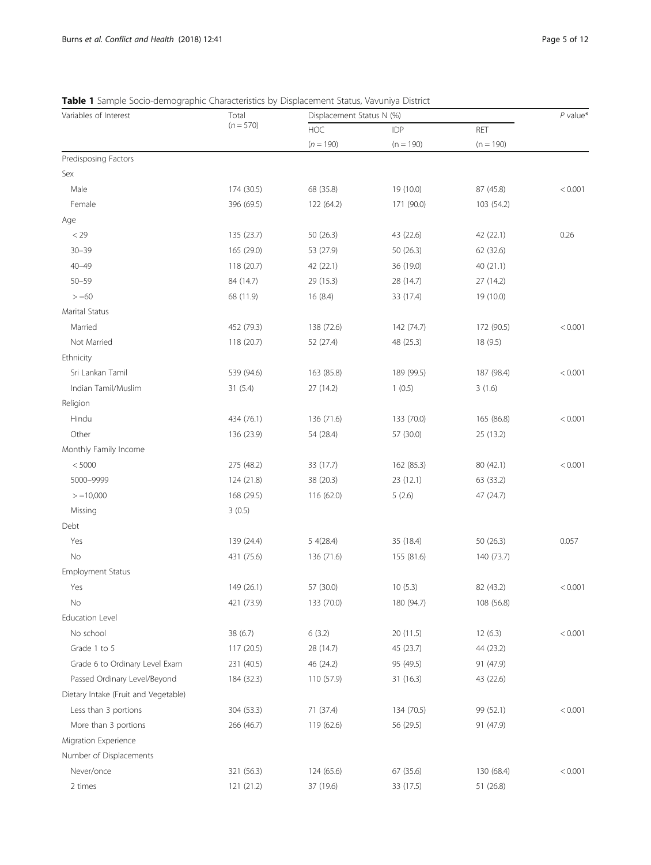<span id="page-4-0"></span>

|  | Table 1 Sample Socio-demographic Characteristics by Displacement Status, Vavuniya District |  |
|--|--------------------------------------------------------------------------------------------|--|
|  |                                                                                            |  |

| Variables of Interest                | Total<br>$(n = 570)$ | Displacement Status N (%) |                           |                    | $P$ value* |
|--------------------------------------|----------------------|---------------------------|---------------------------|--------------------|------------|
|                                      |                      | HOC<br>$(n = 190)$        | <b>IDP</b><br>$(n = 190)$ | RET<br>$(n = 190)$ |            |
|                                      |                      |                           |                           |                    |            |
| Predisposing Factors                 |                      |                           |                           |                    |            |
| Sex                                  |                      |                           |                           |                    |            |
| Male                                 | 174 (30.5)           | 68 (35.8)                 | 19 (10.0)                 | 87 (45.8)          | < 0.001    |
| Female                               | 396 (69.5)           | 122 (64.2)                | 171 (90.0)                | 103 (54.2)         |            |
| Age                                  |                      |                           |                           |                    |            |
| < 29                                 | 135 (23.7)           | 50 (26.3)                 | 43 (22.6)                 | 42 (22.1)          | 0.26       |
| $30 - 39$                            | 165 (29.0)           | 53 (27.9)                 | 50 (26.3)                 | 62 (32.6)          |            |
| $40 - 49$                            | 118 (20.7)           | 42 (22.1)                 | 36 (19.0)                 | 40 (21.1)          |            |
| $50 - 59$                            | 84 (14.7)            | 29 (15.3)                 | 28 (14.7)                 | 27 (14.2)          |            |
| $> = 60$                             | 68 (11.9)            | 16(8.4)                   | 33 (17.4)                 | 19 (10.0)          |            |
| Marital Status                       |                      |                           |                           |                    |            |
| Married                              | 452 (79.3)           | 138 (72.6)                | 142 (74.7)                | 172 (90.5)         | < 0.001    |
| Not Married                          | 118 (20.7)           | 52 (27.4)                 | 48 (25.3)                 | 18 (9.5)           |            |
| Ethnicity                            |                      |                           |                           |                    |            |
| Sri Lankan Tamil                     | 539 (94.6)           | 163 (85.8)                | 189 (99.5)                | 187 (98.4)         | < 0.001    |
| Indian Tamil/Muslim                  | 31(5.4)              | 27 (14.2)                 | 1(0.5)                    | 3(1.6)             |            |
| Religion                             |                      |                           |                           |                    |            |
| Hindu                                | 434 (76.1)           | 136 (71.6)                | 133 (70.0)                | 165 (86.8)         | < 0.001    |
| Other                                | 136 (23.9)           | 54 (28.4)                 | 57 (30.0)                 | 25 (13.2)          |            |
| Monthly Family Income                |                      |                           |                           |                    |            |
| < 5000                               | 275 (48.2)           | 33 (17.7)                 | 162 (85.3)                | 80 (42.1)          | < 0.001    |
| 5000-9999                            | 124 (21.8)           | 38 (20.3)                 | 23(12.1)                  | 63 (33.2)          |            |
| $> = 10,000$                         | 168 (29.5)           | 116 (62.0)                | 5(2.6)                    | 47 (24.7)          |            |
| Missing                              | 3(0.5)               |                           |                           |                    |            |
| Debt                                 |                      |                           |                           |                    |            |
| Yes                                  | 139 (24.4)           | 54(28.4)                  | 35 (18.4)                 | 50 (26.3)          | 0.057      |
| No                                   | 431 (75.6)           | 136 (71.6)                | 155 (81.6)                | 140 (73.7)         |            |
| Employment Status                    |                      |                           |                           |                    |            |
| Yes                                  | 149 (26.1)           | 57 (30.0)                 | 10(5.3)                   | 82 (43.2)          | < 0.001    |
| No                                   | 421 (73.9)           | 133 (70.0)                | 180 (94.7)                | 108 (56.8)         |            |
| Education Level                      |                      |                           |                           |                    |            |
| No school                            | 38 (6.7)             | 6(3.2)                    | 20 (11.5)                 | 12(6.3)            | < 0.001    |
| Grade 1 to 5                         | 117 (20.5)           | 28 (14.7)                 | 45 (23.7)                 | 44 (23.2)          |            |
| Grade 6 to Ordinary Level Exam       | 231 (40.5)           | 46 (24.2)                 | 95 (49.5)                 | 91 (47.9)          |            |
| Passed Ordinary Level/Beyond         | 184 (32.3)           | 110 (57.9)                | 31(16.3)                  | 43 (22.6)          |            |
| Dietary Intake (Fruit and Vegetable) |                      |                           |                           |                    |            |
| Less than 3 portions                 | 304 (53.3)           | 71 (37.4)                 | 134 (70.5)                | 99 (52.1)          | < 0.001    |
| More than 3 portions                 | 266 (46.7)           | 119 (62.6)                | 56 (29.5)                 | 91 (47.9)          |            |
| Migration Experience                 |                      |                           |                           |                    |            |
| Number of Displacements              |                      |                           |                           |                    |            |
| Never/once                           | 321 (56.3)           | 124 (65.6)                | 67 (35.6)                 | 130 (68.4)         | < 0.001    |
| 2 times                              | 121 (21.2)           | 37 (19.6)                 | 33 (17.5)                 | 51 (26.8)          |            |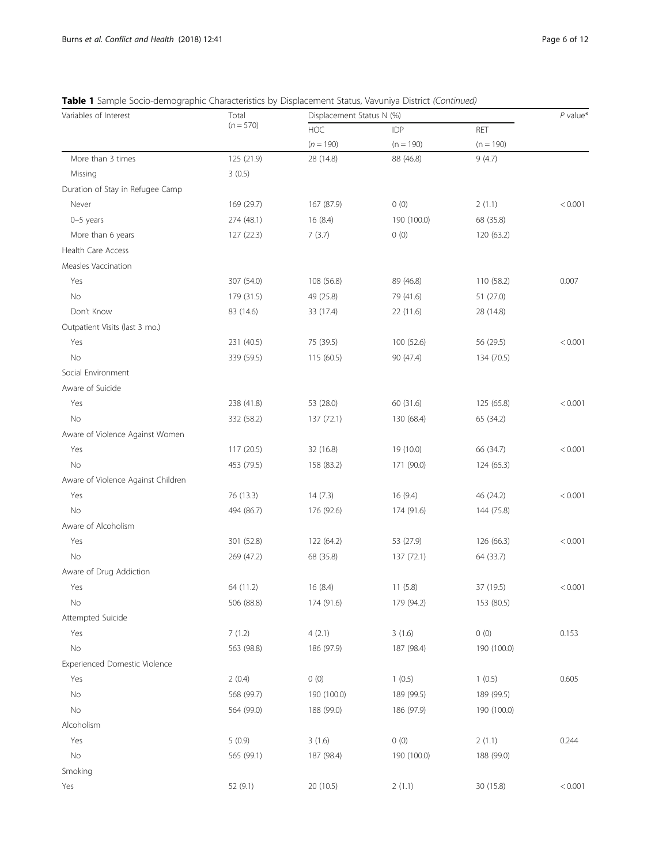Table 1 Sample Socio-demographic Characteristics by Displacement Status, Vavuniya District (Continued)

| Variables of Interest              | Total<br>$(n = 570)$ | Displacement Status N (%) |             |             | $P$ value* |
|------------------------------------|----------------------|---------------------------|-------------|-------------|------------|
|                                    |                      | <b>HOC</b>                | <b>IDP</b>  | <b>RET</b>  |            |
|                                    |                      | $(n = 190)$               | $(n = 190)$ | $(n = 190)$ |            |
| More than 3 times                  | 125 (21.9)           | 28 (14.8)                 | 88 (46.8)   | 9(4.7)      |            |
| Missing                            | 3(0.5)               |                           |             |             |            |
| Duration of Stay in Refugee Camp   |                      |                           |             |             |            |
| Never                              | 169 (29.7)           | 167 (87.9)                | 0(0)        | 2(1.1)      | < 0.001    |
| 0-5 years                          | 274 (48.1)           | 16(8.4)                   | 190 (100.0) | 68 (35.8)   |            |
| More than 6 years                  | 127 (22.3)           | 7(3.7)                    | 0(0)        | 120 (63.2)  |            |
| Health Care Access                 |                      |                           |             |             |            |
| Measles Vaccination                |                      |                           |             |             |            |
| Yes                                | 307 (54.0)           | 108 (56.8)                | 89 (46.8)   | 110 (58.2)  | 0.007      |
| No                                 | 179 (31.5)           | 49 (25.8)                 | 79 (41.6)   | 51 (27.0)   |            |
| Don't Know                         | 83 (14.6)            | 33 (17.4)                 | 22 (11.6)   | 28 (14.8)   |            |
| Outpatient Visits (last 3 mo.)     |                      |                           |             |             |            |
| Yes                                | 231 (40.5)           | 75 (39.5)                 | 100 (52.6)  | 56 (29.5)   | < 0.001    |
| No                                 | 339 (59.5)           | 115 (60.5)                | 90 (47.4)   | 134 (70.5)  |            |
| Social Environment                 |                      |                           |             |             |            |
| Aware of Suicide                   |                      |                           |             |             |            |
| Yes                                | 238 (41.8)           | 53 (28.0)                 | 60 (31.6)   | 125 (65.8)  | < 0.001    |
| No                                 | 332 (58.2)           | 137 (72.1)                | 130 (68.4)  | 65 (34.2)   |            |
| Aware of Violence Against Women    |                      |                           |             |             |            |
| Yes                                | 117 (20.5)           | 32 (16.8)                 | 19 (10.0)   | 66 (34.7)   | < 0.001    |
| No                                 | 453 (79.5)           | 158 (83.2)                | 171 (90.0)  | 124 (65.3)  |            |
| Aware of Violence Against Children |                      |                           |             |             |            |
| Yes                                | 76 (13.3)            | 14(7.3)                   | 16(9.4)     | 46 (24.2)   | < 0.001    |
| No                                 | 494 (86.7)           | 176 (92.6)                | 174 (91.6)  | 144 (75.8)  |            |
| Aware of Alcoholism                |                      |                           |             |             |            |
| Yes                                | 301 (52.8)           | 122 (64.2)                | 53 (27.9)   | 126 (66.3)  | < 0.001    |
| No                                 | 269 (47.2)           | 68 (35.8)                 | 137 (72.1)  | 64 (33.7)   |            |
| Aware of Drug Addiction            |                      |                           |             |             |            |
| Yes                                | 64 (11.2)            | 16(8.4)                   | 11(5.8)     | 37 (19.5)   | < 0.001    |
| $\rm No$                           | 506 (88.8)           | 174 (91.6)                | 179 (94.2)  | 153 (80.5)  |            |
| Attempted Suicide                  |                      |                           |             |             |            |
| Yes                                | 7(1.2)               | 4(2.1)                    | 3(1.6)      | 0(0)        | 0.153      |
| $\rm No$                           | 563 (98.8)           | 186 (97.9)                | 187 (98.4)  | 190 (100.0) |            |
| Experienced Domestic Violence      |                      |                           |             |             |            |
| Yes                                | 2(0.4)               | 0(0)                      | 1(0.5)      | 1(0.5)      | 0.605      |
| No                                 | 568 (99.7)           | 190 (100.0)               | 189 (99.5)  | 189 (99.5)  |            |
| No                                 | 564 (99.0)           | 188 (99.0)                | 186 (97.9)  | 190 (100.0) |            |
| Alcoholism                         |                      |                           |             |             |            |
| Yes                                | 5(0.9)               | 3(1.6)                    | 0(0)        | 2(1.1)      | 0.244      |
| $\rm No$                           | 565 (99.1)           | 187 (98.4)                | 190 (100.0) | 188 (99.0)  |            |
| Smoking                            |                      |                           |             |             |            |
| Yes                                | 52 (9.1)             | 20 (10.5)                 | 2(1.1)      | 30 (15.8)   | < 0.001    |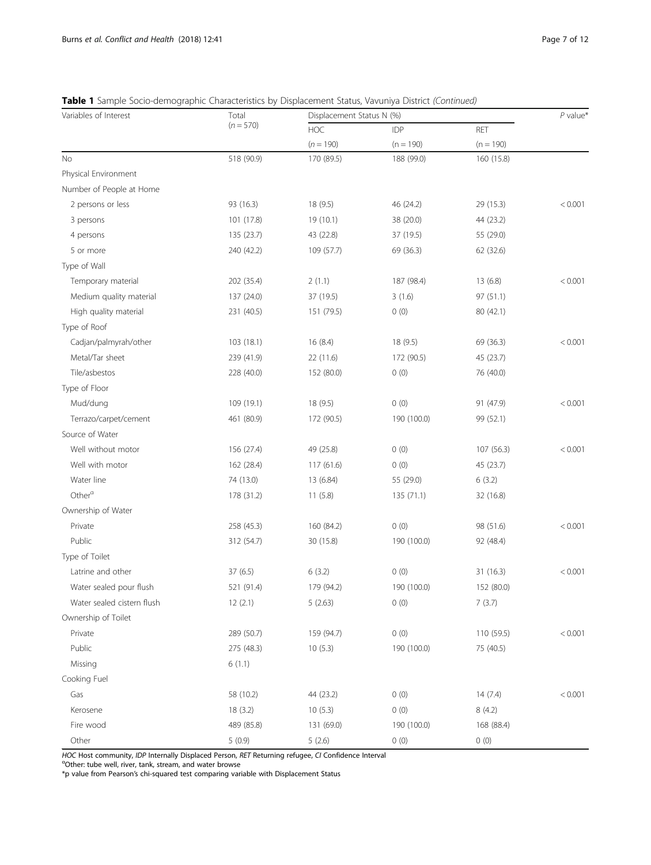Table 1 Sample Socio-demographic Characteristics by Displacement Status, Vavuniya District (Continued)

| Variables of Interest      | Total<br>$(n = 570)$ | Displacement Status N (%) |                           |                           | $P$ value* |
|----------------------------|----------------------|---------------------------|---------------------------|---------------------------|------------|
|                            |                      | <b>HOC</b><br>$(n = 190)$ | <b>IDP</b><br>$(n = 190)$ | <b>RET</b><br>$(n = 190)$ |            |
|                            |                      |                           |                           |                           |            |
| No                         | 518 (90.9)           | 170 (89.5)                | 188 (99.0)                | 160 (15.8)                |            |
| Physical Environment       |                      |                           |                           |                           |            |
| Number of People at Home   |                      |                           |                           |                           |            |
| 2 persons or less          | 93 (16.3)            | 18 (9.5)                  | 46 (24.2)                 | 29 (15.3)                 | < 0.001    |
| 3 persons                  | 101 (17.8)           | 19 (10.1)                 | 38 (20.0)                 | 44 (23.2)                 |            |
| 4 persons                  | 135 (23.7)           | 43 (22.8)                 | 37 (19.5)                 | 55 (29.0)                 |            |
| 5 or more                  | 240 (42.2)           | 109 (57.7)                | 69 (36.3)                 | 62 (32.6)                 |            |
| Type of Wall               |                      |                           |                           |                           |            |
| Temporary material         | 202 (35.4)           | 2(1.1)                    | 187 (98.4)                | 13(6.8)                   | < 0.001    |
| Medium quality material    | 137 (24.0)           | 37 (19.5)                 | 3(1.6)                    | 97 (51.1)                 |            |
| High quality material      | 231 (40.5)           | 151 (79.5)                | 0(0)                      | 80 (42.1)                 |            |
| Type of Roof               |                      |                           |                           |                           |            |
| Cadjan/palmyrah/other      | 103(18.1)            | 16(8.4)                   | 18 (9.5)                  | 69 (36.3)                 | < 0.001    |
| Metal/Tar sheet            | 239 (41.9)           | 22 (11.6)                 | 172 (90.5)                | 45 (23.7)                 |            |
| Tile/asbestos              | 228 (40.0)           | 152 (80.0)                | 0(0)                      | 76 (40.0)                 |            |
| Type of Floor              |                      |                           |                           |                           |            |
| Mud/dung                   | 109 (19.1)           | 18 (9.5)                  | 0(0)                      | 91 (47.9)                 | < 0.001    |
| Terrazo/carpet/cement      | 461 (80.9)           | 172 (90.5)                | 190 (100.0)               | 99 (52.1)                 |            |
| Source of Water            |                      |                           |                           |                           |            |
| Well without motor         | 156 (27.4)           | 49 (25.8)                 | 0(0)                      | 107 (56.3)                | < 0.001    |
| Well with motor            | 162 (28.4)           | 117(61.6)                 | 0(0)                      | 45 (23.7)                 |            |
| Water line                 | 74 (13.0)            | 13 (6.84)                 | 55 (29.0)                 | 6(3.2)                    |            |
| $Other^{\alpha}$           | 178 (31.2)           | 11(5.8)                   | 135(71.1)                 | 32 (16.8)                 |            |
| Ownership of Water         |                      |                           |                           |                           |            |
| Private                    | 258 (45.3)           | 160 (84.2)                | 0(0)                      | 98 (51.6)                 | < 0.001    |
| Public                     | 312 (54.7)           | 30 (15.8)                 | 190 (100.0)               | 92 (48.4)                 |            |
| Type of Toilet             |                      |                           |                           |                           |            |
| Latrine and other          | 37(6.5)              | 6(3.2)                    | 0(0)                      | 31 (16.3)                 | < 0.001    |
| Water sealed pour flush    | 521 (91.4)           | 179 (94.2)                | 190 (100.0)               | 152 (80.0)                |            |
| Water sealed cistern flush | 12(2.1)              | 5(2.63)                   | 0(0)                      | 7(3.7)                    |            |
| Ownership of Toilet        |                      |                           |                           |                           |            |
| Private                    | 289 (50.7)           | 159 (94.7)                | 0(0)                      | 110 (59.5)                | < 0.001    |
| Public                     | 275 (48.3)           | 10(5.3)                   | 190 (100.0)               | 75 (40.5)                 |            |
| Missing                    | 6(1.1)               |                           |                           |                           |            |
| Cooking Fuel               |                      |                           |                           |                           |            |
| Gas                        | 58 (10.2)            | 44 (23.2)                 | 0(0)                      | 14(7.4)                   | < 0.001    |
| Kerosene                   | 18(3.2)              | 10(5.3)                   | 0(0)                      | 8(4.2)                    |            |
| Fire wood                  | 489 (85.8)           | 131 (69.0)                | 190 (100.0)               | 168 (88.4)                |            |
| Other                      | 5(0.9)               | 5(2.6)                    | 0(0)                      | 0(0)                      |            |

HOC Host community, IDP Internally Displaced Person, RET Returning refugee, CI Confidence Interval

Other: tube well, river, tank, stream, and water browse

\*p value from Pearson's chi-squared test comparing variable with Displacement Status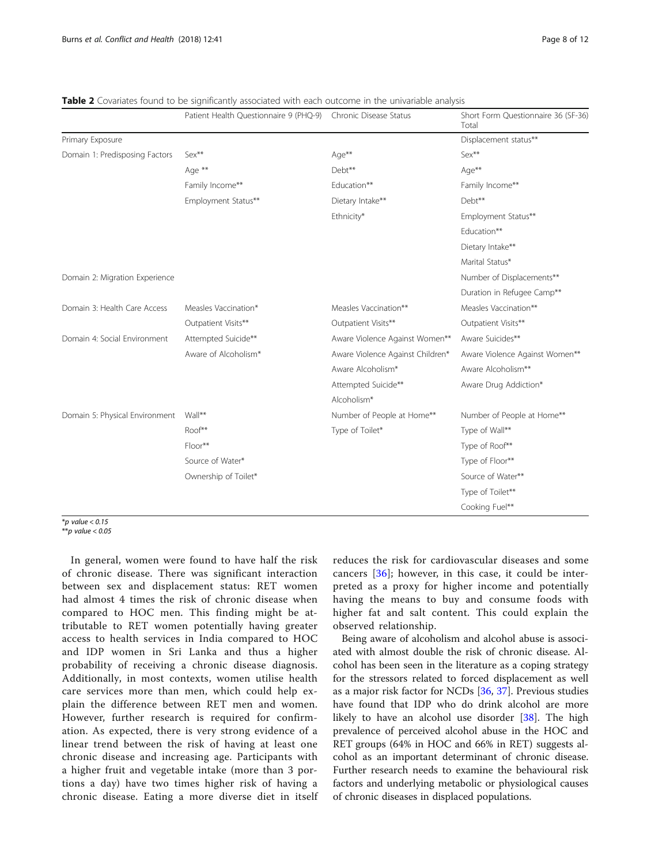|                                | Patient Health Questionnaire 9 (PHQ-9) | Chronic Disease Status           | Short Form Questionnaire 36 (SF-36)<br>Total |
|--------------------------------|----------------------------------------|----------------------------------|----------------------------------------------|
| Primary Exposure               |                                        |                                  | Displacement status**                        |
| Domain 1: Predisposing Factors | Sex**                                  | Age**                            | Sex**                                        |
|                                | Age **                                 | Debt**                           | Age**                                        |
|                                | Family Income**                        | Education**                      | Family Income**                              |
|                                | Employment Status**                    | Dietary Intake**                 | Debt**                                       |
|                                |                                        | Ethnicity*                       | Employment Status**                          |
|                                |                                        |                                  | Education**                                  |
|                                |                                        |                                  | Dietary Intake**                             |
|                                |                                        |                                  | Marital Status*                              |
| Domain 2: Migration Experience |                                        |                                  | Number of Displacements**                    |
|                                |                                        |                                  | Duration in Refugee Camp**                   |
| Domain 3: Health Care Access   | Measles Vaccination*                   | Measles Vaccination**            | Measles Vaccination**                        |
|                                | Outpatient Visits**                    | Outpatient Visits**              | Outpatient Visits**                          |
| Domain 4: Social Environment   | Attempted Suicide**                    | Aware Violence Against Women**   | Aware Suicides**                             |
|                                | Aware of Alcoholism*                   | Aware Violence Against Children* | Aware Violence Against Women**               |
|                                |                                        | Aware Alcoholism*                | Aware Alcoholism**                           |
|                                |                                        | Attempted Suicide**              | Aware Drug Addiction*                        |
|                                |                                        | Alcoholism*                      |                                              |
| Domain 5: Physical Environment | Wall**                                 | Number of People at Home**       | Number of People at Home**                   |
|                                | Roof**                                 | Type of Toilet*                  | Type of Wall**                               |
|                                | Floor**                                |                                  | Type of Roof**                               |
|                                | Source of Water*                       |                                  | Type of Floor**                              |
|                                | Ownership of Toilet*                   |                                  | Source of Water**                            |
|                                |                                        |                                  | Type of Toilet**                             |
|                                |                                        |                                  | Cooking Fuel**                               |

<span id="page-7-0"></span>Table 2 Covariates found to be significantly associated with each outcome in the univariable analysis

 $*$ p value < 0.15  $**$ p value < 0.05

In general, women were found to have half the risk of chronic disease. There was significant interaction between sex and displacement status: RET women had almost 4 times the risk of chronic disease when compared to HOC men. This finding might be attributable to RET women potentially having greater access to health services in India compared to HOC and IDP women in Sri Lanka and thus a higher probability of receiving a chronic disease diagnosis. Additionally, in most contexts, women utilise health care services more than men, which could help explain the difference between RET men and women. However, further research is required for confirmation. As expected, there is very strong evidence of a linear trend between the risk of having at least one chronic disease and increasing age. Participants with a higher fruit and vegetable intake (more than 3 portions a day) have two times higher risk of having a chronic disease. Eating a more diverse diet in itself

reduces the risk for cardiovascular diseases and some cancers [[36](#page-11-0)]; however, in this case, it could be interpreted as a proxy for higher income and potentially having the means to buy and consume foods with higher fat and salt content. This could explain the observed relationship.

Being aware of alcoholism and alcohol abuse is associated with almost double the risk of chronic disease. Alcohol has been seen in the literature as a coping strategy for the stressors related to forced displacement as well as a major risk factor for NCDs [[36,](#page-11-0) [37](#page-11-0)]. Previous studies have found that IDP who do drink alcohol are more likely to have an alcohol use disorder [[38\]](#page-11-0). The high prevalence of perceived alcohol abuse in the HOC and RET groups (64% in HOC and 66% in RET) suggests alcohol as an important determinant of chronic disease. Further research needs to examine the behavioural risk factors and underlying metabolic or physiological causes of chronic diseases in displaced populations.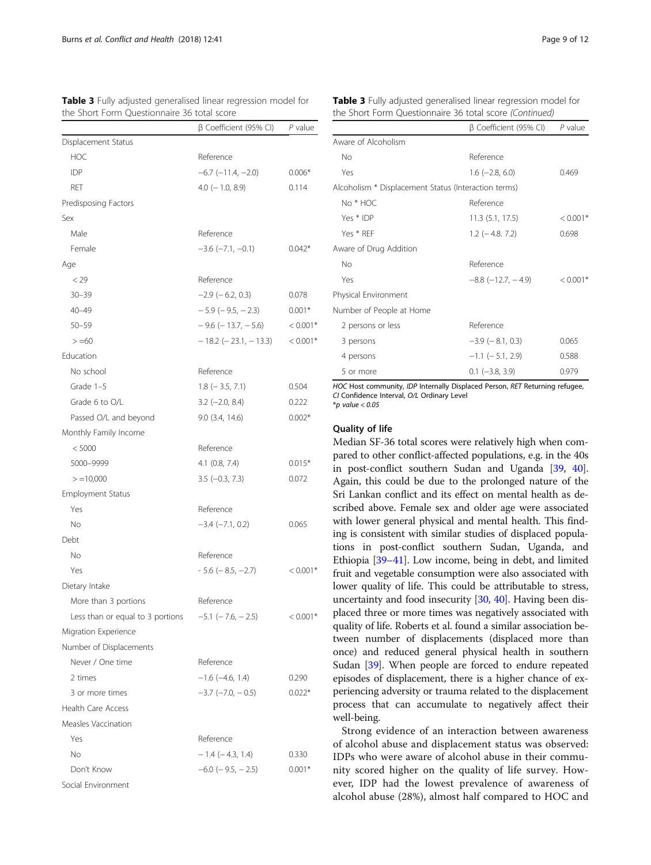| the Short Form Questionnaire 36 total score |                               |            |
|---------------------------------------------|-------------------------------|------------|
|                                             | $\beta$ Coefficient (95% CI)  | $P$ value  |
| Displacement Status                         |                               |            |
| <b>HOC</b>                                  | Reference                     |            |
| <b>IDP</b>                                  | $-6.7$ ( $-11.4$ , $-2.0$ )   | $0.006*$   |
| RET                                         | $4.0$ (-1.0, 8.9)             | 0.114      |
| Predisposing Factors                        |                               |            |
| Sex                                         |                               |            |
| Male                                        | Reference                     |            |
| Female                                      | $-3.6$ $(-7.1, -0.1)$         | $0.042*$   |
| Age                                         |                               |            |
| < 29                                        | Reference                     |            |
| $30 - 39$                                   | $-2.9$ ( $-6.2$ , 0.3)        | 0.078      |
| $40 - 49$                                   | $-5.9$ ( $-9.5$ , $-2.3$ )    | $0.001*$   |
| $50 - 59$                                   | $-9.6$ ( $-13.7, -5.6$ )      | $< 0.001*$ |
| $> = 60$                                    | $-18.2$ ( $-23.1$ , $-13.3$ ) | $< 0.001*$ |
| Education                                   |                               |            |
| No school                                   | Reference                     |            |
| Grade 1-5                                   | $1.8$ ( $-3.5$ , 7.1)         | 0.504      |
| Grade 6 to O/L                              | $3.2$ (-2.0, 8.4)             | 0.222      |
| Passed O/L and beyond                       | $9.0$ $(3.4, 14.6)$           | $0.002*$   |
| Monthly Family Income                       |                               |            |
| < 5000                                      | Reference                     |            |
| 5000-9999                                   | 4.1 (0.8, 7.4)                | $0.015*$   |
| $> = 10,000$                                | $3.5$ (-0.3, 7.3)             | 0.072      |
| <b>Employment Status</b>                    |                               |            |
| Yes                                         | Reference                     |            |
| No                                          | $-3.4$ $(-7.1, 0.2)$          | 0.065      |
| Debt                                        |                               |            |
| No                                          | Reference                     |            |
| Yes                                         | $-5.6$ ( $-8.5, -2.7$ )       | $< 0.001*$ |
| Dietary Intake                              |                               |            |
| More than 3 portions                        | Reference                     |            |
| Less than or equal to 3 portions            | $-5.1$ ( $-7.6$ , $-2.5$ )    | $< 0.001*$ |
| Migration Experience                        |                               |            |
| Number of Displacements                     |                               |            |
| Never / One time                            | Reference                     |            |
| 2 times                                     | $-1.6$ ( $-4.6$ , 1.4)        | 0.290      |
| 3 or more times                             | $-3.7$ ( $-7.0$ , $-0.5$ )    | $0.022*$   |
| Health Care Access                          |                               |            |
| Measles Vaccination                         |                               |            |
| Yes                                         | Reference                     |            |
| No                                          | $-1.4$ ( $-4.3$ , 1.4)        | 0.330      |
| Don't Know                                  | $-6.0$ ( $-9.5$ , $-2.5$ )    | $0.001*$   |
| Social Environment                          |                               |            |

<span id="page-8-0"></span>

| <b>Table 3</b> Fully adjusted generalised linear regression model for | Table 3 Fully adjus |
|-----------------------------------------------------------------------|---------------------|
| the Short Form Ouestionnaire 36 total score                           | the Short Form Que  |

#### ted generalised linear regression model for estionnaire 36 total score *(Continued)*

|                                                      | $\beta$ Coefficient (95% CI) | $P$ value  |
|------------------------------------------------------|------------------------------|------------|
| Aware of Alcoholism                                  |                              |            |
| No                                                   | Reference                    |            |
| Yes                                                  | $1.6$ ( $-2.8$ , 6.0)        | 0.469      |
| Alcoholism * Displacement Status (Interaction terms) |                              |            |
| No * HOC                                             | Reference                    |            |
| $Yes * IDP$                                          | 11.3(5.1, 17.5)              | $< 0.001*$ |
| Yes * RFF                                            | $1.2$ ( $-4.8$ , 7.2)        | 0.698      |
| Aware of Drug Addition                               |                              |            |
| No                                                   | Reference                    |            |
| Yes                                                  | $-8.8$ ( $-12.7$ , $-4.9$ )  | $< 0.001*$ |
| Physical Environment                                 |                              |            |
| Number of People at Home                             |                              |            |
| 2 persons or less                                    | Reference                    |            |
| 3 persons                                            | $-3.9$ ( $-8.1$ , 0.3)       | 0.065      |
| 4 persons                                            | $-1.1$ ( $-5.1$ , 2.9)       | 0.588      |
| 5 or more                                            | $0.1$ (-3.8, 3.9)            | 0.979      |

HOC Host community, IDP Internally Displaced Person, RET Returning refugee, CI Confidence Interval, O/L Ordinary Level

 $*$ p value < 0.05

#### Quality of life

Median SF-36 total scores were relatively high when compared to other conflict-affected populations, e.g. in the 40s in post-conflict southern Sudan and Uganda [\[39,](#page-11-0) [40](#page-11-0)]. Again, this could be due to the prolonged nature of the Sri Lankan conflict and its effect on mental health as described above. Female sex and older age were associated with lower general physical and mental health. This finding is consistent with similar studies of displaced populations in post-conflict southern Sudan, Uganda, and Ethiopia [\[39](#page-11-0)–[41](#page-11-0)]. Low income, being in debt, and limited fruit and vegetable consumption were also associated with lower quality of life. This could be attributable to stress, uncertainty and food insecurity [\[30,](#page-11-0) [40\]](#page-11-0). Having been displaced three or more times was negatively associated with quality of life. Roberts et al. found a similar association between number of displacements (displaced more than once) and reduced general physical health in southern Sudan [[39](#page-11-0)]. When people are forced to endure repeated episodes of displacement, there is a higher chance of experiencing adversity or trauma related to the displacement process that can accumulate to negatively affect their well-being.

Strong evidence of an interaction between awareness of alcohol abuse and displacement status was observed: IDPs who were aware of alcohol abuse in their community scored higher on the quality of life survey. However, IDP had the lowest prevalence of awareness of alcohol abuse (28%), almost half compared to HOC and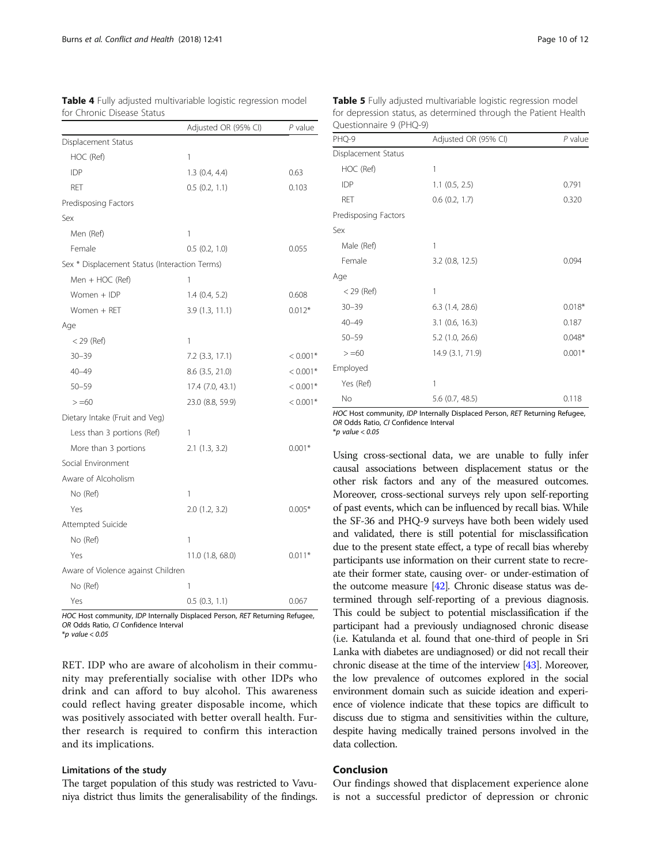|                                               | Adjusted OR (95% CI) | P value    |
|-----------------------------------------------|----------------------|------------|
| Displacement Status                           |                      |            |
| HOC (Ref)                                     | 1                    |            |
| <b>IDP</b>                                    | 1.3(0.4, 4.4)        | 0.63       |
| RET                                           | $0.5$ $(0.2, 1.1)$   | 0.103      |
| Predisposing Factors                          |                      |            |
| Sex                                           |                      |            |
| Men (Ref)                                     | 1                    |            |
| Female                                        | 0.5(0.2, 1.0)        | 0.055      |
| Sex * Displacement Status (Interaction Terms) |                      |            |
| Men + HOC (Ref)                               | 1                    |            |
| Women + IDP                                   | $1.4$ (0.4, 5.2)     | 0.608      |
| Women + RET                                   | 3.9(1.3, 11.1)       | $0.012*$   |
| Age                                           |                      |            |
| $<$ 29 (Ref)                                  | 1                    |            |
| $30 - 39$                                     | 7.2 (3.3, 17.1)      | $< 0.001*$ |
| $40 - 49$                                     | $8.6$ $(3.5, 21.0)$  | $< 0.001*$ |
| $50 - 59$                                     | 17.4 (7.0, 43.1)     | $< 0.001*$ |
| $> = 60$                                      | 23.0 (8.8, 59.9)     | $< 0.001*$ |
| Dietary Intake (Fruit and Veg)                |                      |            |
| Less than 3 portions (Ref)                    | 1                    |            |
| More than 3 portions                          | 2.1(1.3, 3.2)        | $0.001*$   |
| Social Environment                            |                      |            |
| Aware of Alcoholism                           |                      |            |
| No (Ref)                                      | 1                    |            |
| Yes                                           | 2.0(1.2, 3.2)        | $0.005*$   |
| Attempted Suicide                             |                      |            |
| No (Ref)                                      | 1                    |            |
| Yes                                           | 11.0 (1.8, 68.0)     | $0.011*$   |
| Aware of Violence against Children            |                      |            |
| No (Ref)                                      | 1                    |            |
| Yes                                           | $0.5$ $(0.3, 1.1)$   | 0.067      |

<span id="page-9-0"></span>Table 4 Fully adjusted multivariable logistic regression model for Chronic Disease Status

HOC Host community, IDP Internally Displaced Person, RET Returning Refugee, OR Odds Ratio, CI Confidence Interval

 $*$ p value < 0.05

RET. IDP who are aware of alcoholism in their community may preferentially socialise with other IDPs who drink and can afford to buy alcohol. This awareness could reflect having greater disposable income, which was positively associated with better overall health. Further research is required to confirm this interaction and its implications.

#### Limitations of the study

The target population of this study was restricted to Vavuniya district thus limits the generalisability of the findings.

 $PHQ-9$  Adjusted OR (95% CI)  $P$  value Displacement Status HOC (Ref) 1 IDP 1.1 (0.5, 2.5) 0.791 RFT 0.6 (0.2, 1.7) 0.320 Predisposing Factors Sex Male (Ref) 1 Female 3.2 (0.8, 12.5) 0.094 Age  $< 29$  (Ref)  $1$ 30–39 6.3 (1.4, 28.6) 0.018\* 40–49 3.1 (0.6, 16.3) 0.187 50–59 5.2 (1.0, 26.6) 0.048\*  $> =60$  14.9 (3.1, 71.9) 0.001\* Employed Yes (Ref) 1 No 5.6 (0.7, 48.5) 0.118

HOC Host community, IDP Internally Displaced Person, RET Returning Refugee, OR Odds Ratio, CI Confidence Interval  $*$ p value < 0.05

Using cross-sectional data, we are unable to fully infer causal associations between displacement status or the other risk factors and any of the measured outcomes. Moreover, cross-sectional surveys rely upon self-reporting of past events, which can be influenced by recall bias. While the SF-36 and PHQ-9 surveys have both been widely used and validated, there is still potential for misclassification due to the present state effect, a type of recall bias whereby participants use information on their current state to recreate their former state, causing over- or under-estimation of the outcome measure [[42](#page-11-0)]. Chronic disease status was determined through self-reporting of a previous diagnosis. This could be subject to potential misclassification if the participant had a previously undiagnosed chronic disease (i.e. Katulanda et al. found that one-third of people in Sri Lanka with diabetes are undiagnosed) or did not recall their chronic disease at the time of the interview [\[43\]](#page-11-0). Moreover, the low prevalence of outcomes explored in the social environment domain such as suicide ideation and experience of violence indicate that these topics are difficult to discuss due to stigma and sensitivities within the culture, despite having medically trained persons involved in the data collection.

#### Conclusion

Our findings showed that displacement experience alone is not a successful predictor of depression or chronic

| <b>Table 5</b> Fully adjusted multivariable logistic regression model |
|-----------------------------------------------------------------------|
| for depression status, as determined through the Patient Health       |
| Ouestionnaire 9 (PHO-9)                                               |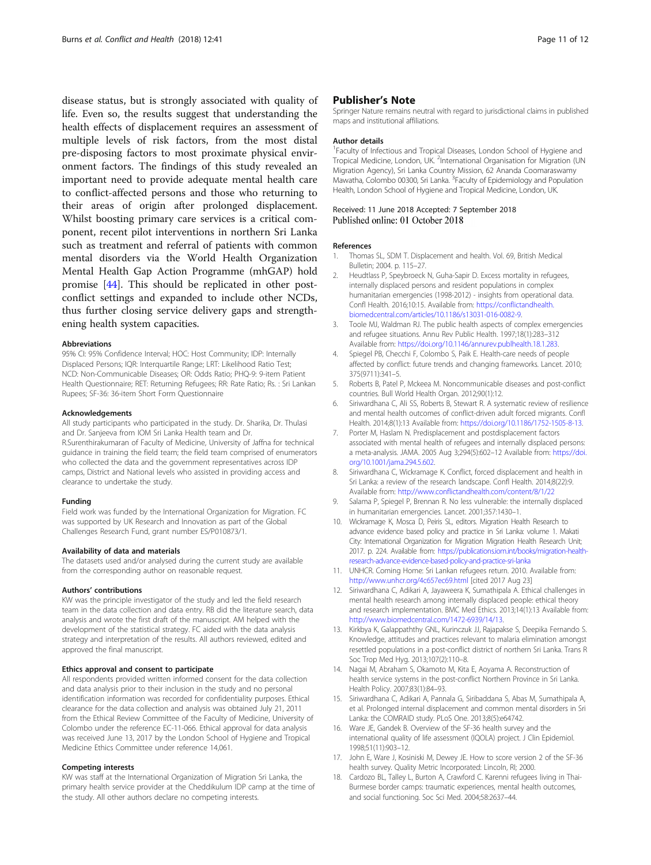<span id="page-10-0"></span>disease status, but is strongly associated with quality of life. Even so, the results suggest that understanding the health effects of displacement requires an assessment of multiple levels of risk factors, from the most distal pre-disposing factors to most proximate physical environment factors. The findings of this study revealed an important need to provide adequate mental health care to conflict-affected persons and those who returning to their areas of origin after prolonged displacement. Whilst boosting primary care services is a critical component, recent pilot interventions in northern Sri Lanka such as treatment and referral of patients with common mental disorders via the World Health Organization Mental Health Gap Action Programme (mhGAP) hold promise [\[44](#page-11-0)]. This should be replicated in other postconflict settings and expanded to include other NCDs, thus further closing service delivery gaps and strengthening health system capacities.

#### Abbreviations

95% CI: 95% Confidence Interval; HOC: Host Community; IDP: Internally Displaced Persons; IQR: Interquartile Range; LRT: Likelihood Ratio Test; NCD: Non-Communicable Diseases; OR: Odds Ratio; PHQ-9: 9-item Patient Health Questionnaire; RET: Returning Refugees; RR: Rate Ratio; Rs. : Sri Lankan Rupees; SF-36: 36-item Short Form Questionnaire

#### Acknowledgements

All study participants who participated in the study. Dr. Sharika, Dr. Thulasi and Dr. Sanjeeva from IOM Sri Lanka Health team and Dr. R.Surenthirakumaran of Faculty of Medicine, University of Jaffna for technical guidance in training the field team; the field team comprised of enumerators who collected the data and the government representatives across IDP camps, District and National levels who assisted in providing access and clearance to undertake the study.

#### Funding

Field work was funded by the International Organization for Migration. FC was supported by UK Research and Innovation as part of the Global Challenges Research Fund, grant number ES/P010873/1.

#### Availability of data and materials

The datasets used and/or analysed during the current study are available from the corresponding author on reasonable request.

#### Authors' contributions

KW was the principle investigator of the study and led the field research team in the data collection and data entry. RB did the literature search, data analysis and wrote the first draft of the manuscript. AM helped with the development of the statistical strategy. FC aided with the data analysis strategy and interpretation of the results. All authors reviewed, edited and approved the final manuscript.

#### Ethics approval and consent to participate

All respondents provided written informed consent for the data collection and data analysis prior to their inclusion in the study and no personal identification information was recorded for confidentiality purposes. Ethical clearance for the data collection and analysis was obtained July 21, 2011 from the Ethical Review Committee of the Faculty of Medicine, University of Colombo under the reference EC-11-066. Ethical approval for data analysis was received June 13, 2017 by the London School of Hygiene and Tropical Medicine Ethics Committee under reference 14,061.

#### Competing interests

KW was staff at the International Organization of Migration Sri Lanka, the primary health service provider at the Cheddikulum IDP camp at the time of the study. All other authors declare no competing interests.

#### Publisher's Note

Springer Nature remains neutral with regard to jurisdictional claims in published maps and institutional affiliations.

#### Author details

<sup>1</sup> Faculty of Infectious and Tropical Diseases, London School of Hygiene and Tropical Medicine, London, UK. <sup>2</sup>International Organisation for Migration (UN Migration Agency), Sri Lanka Country Mission, 62 Ananda Coomaraswamy Mawatha, Colombo 00300, Sri Lanka.<sup>3</sup> Faculty of Epidemiology and Population Health, London School of Hygiene and Tropical Medicine, London, UK.

# Received: 11 June 2018 Accepted: 7 September 2018

#### References

- 1. Thomas SL, SDM T. Displacement and health. Vol. 69, British Medical Bulletin; 2004. p. 115–27.
- 2. Heudtlass P, Speybroeck N, Guha-Sapir D. Excess mortality in refugees, internally displaced persons and resident populations in complex humanitarian emergencies (1998-2012) - insights from operational data. Confl Health. 2016;10:15. Available from: [https://conflictandhealth.](https://conflictandhealth.biomedcentral.com/articles/10.1186/s13031-016-0082-9) [biomedcentral.com/articles/10.1186/s13031-016-0082-9.](https://conflictandhealth.biomedcentral.com/articles/10.1186/s13031-016-0082-9)
- 3. Toole MJ, Waldman RJ. The public health aspects of complex emergencies and refugee situations. Annu Rev Public Health. 1997;18(1):283–312 Available from: <https://doi.org/10.1146/annurev.publhealth.18.1.283>.
- 4. Spiegel PB, Checchi F, Colombo S, Paik E. Health-care needs of people affected by conflict: future trends and changing frameworks. Lancet. 2010; 375(9711):341–5.
- 5. Roberts B, Patel P, Mckeea M. Noncommunicable diseases and post-conflict countries. Bull World Health Organ. 2012;90(1):12.
- Siriwardhana C, Ali SS, Roberts B, Stewart R. A systematic review of resilience and mental health outcomes of conflict-driven adult forced migrants. Confl Health. 2014;8(1):13 Available from: <https://doi.org/10.1186/1752-1505-8-13>.
- 7. Porter M, Haslam N. Predisplacement and postdisplacement factors associated with mental health of refugees and internally displaced persons: a meta-analysis. JAMA. 2005 Aug 3;294(5):602–12 Available from: [https://doi.](https://doi.org/10.1001/jama.294.5.602) [org/10.1001/jama.294.5.602](https://doi.org/10.1001/jama.294.5.602).
- 8. Siriwardhana C, Wickramage K. Conflict, forced displacement and health in Sri Lanka: a review of the research landscape. Confl Health. 2014;8(22):9. Available from: <http://www.conflictandhealth.com/content/8/1/22>
- Salama P, Spiegel P, Brennan R. No less vulnerable: the internally displaced in humanitarian emergencies. Lancet. 2001;357:1430–1.
- 10. Wickramage K, Mosca D, Peiris SL, editors. Migration Health Research to advance evidence based policy and practice in Sri Lanka: volume 1. Makati City: International Organization for Migration Migration Health Research Unit; 2017. p. 224. Available from: [https://publications.iom.int/books/migration-health](https://publications.iom.int/books/migration-health-research-advance-evidence-based-policy-and-practice-sri-lanka)[research-advance-evidence-based-policy-and-practice-sri-lanka](https://publications.iom.int/books/migration-health-research-advance-evidence-based-policy-and-practice-sri-lanka)
- 11. UNHCR. Coming Home: Sri Lankan refugees return. 2010. Available from: <http://www.unhcr.org/4c657ec69.html> [cited 2017 Aug 23]
- 12. Siriwardhana C, Adikari A, Jayaweera K, Sumathipala A. Ethical challenges in mental health research among internally displaced people: ethical theory and research implementation. BMC Med Ethics. 2013;14(1):13 Available from: [http://www.biomedcentral.com/1472-6939/14/13.](http://www.biomedcentral.com/1472-6939/14/13)
- 13. Kirkbya K, Galappaththy GNL, Kurinczuk JJ, Rajapakse S, Deepika Fernando S. Knowledge, attitudes and practices relevant to malaria elimination amongst resettled populations in a post-conflict district of northern Sri Lanka. Trans R Soc Trop Med Hyg. 2013;107(2):110–8.
- 14. Nagai M, Abraham S, Okamoto M, Kita E, Aoyama A. Reconstruction of health service systems in the post-conflict Northern Province in Sri Lanka. Health Policy. 2007;83(1):84–93.
- 15. Siriwardhana C, Adikari A, Pannala G, Siribaddana S, Abas M, Sumathipala A, et al. Prolonged internal displacement and common mental disorders in Sri Lanka: the COMRAID study. PLoS One. 2013;8(5):e64742.
- 16. Ware JE, Gandek B. Overview of the SF-36 health survey and the international quality of life assessment (IQOLA) project. J Clin Epidemiol. 1998;51(11):903–12.
- 17. John E, Ware J, Kosiniski M, Dewey JE. How to score version 2 of the SF-36 health survey. Quality Metric Incorporated: Lincoln, RI; 2000.
- 18. Cardozo BL, Talley L, Burton A, Crawford C. Karenni refugees living in Thai-Burmese border camps: traumatic experiences, mental health outcomes, and social functioning. Soc Sci Med. 2004;58:2637–44.